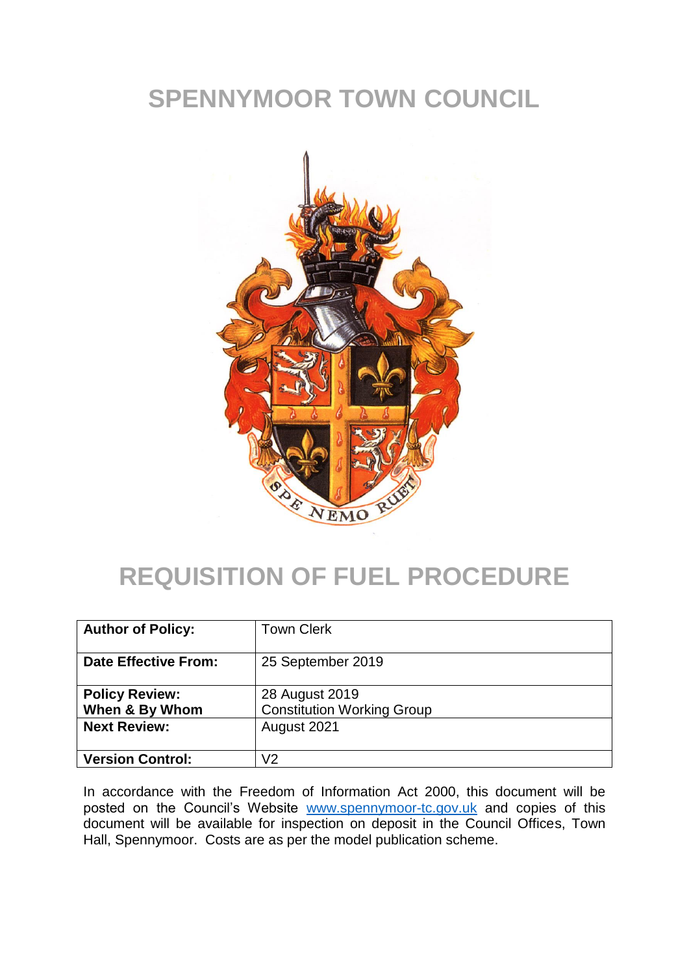## **SPENNYMOOR TOWN COUNCIL**



## **REQUISITION OF FUEL PROCEDURE**

| <b>Author of Policy:</b>                | <b>Town Clerk</b>                                   |
|-----------------------------------------|-----------------------------------------------------|
| <b>Date Effective From:</b>             | 25 September 2019                                   |
| <b>Policy Review:</b><br>When & By Whom | 28 August 2019<br><b>Constitution Working Group</b> |
| <b>Next Review:</b>                     | August 2021                                         |
| <b>Version Control:</b>                 | V2                                                  |

In accordance with the Freedom of Information Act 2000, this document will be posted on the Council's Website [www.spennymoor-tc.gov.uk](http://www.spennymoor-tc.gov.uk/) and copies of this document will be available for inspection on deposit in the Council Offices, Town Hall, Spennymoor. Costs are as per the model publication scheme.